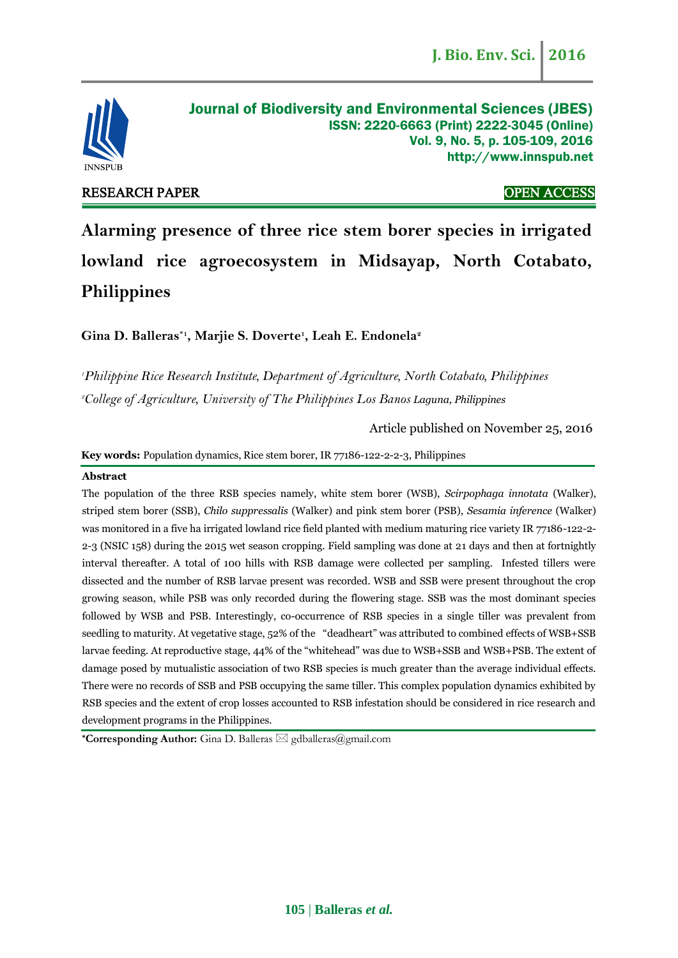

RESEARCH PAPER OPEN ACCESS

**Alarming presence of three rice stem borer species in irrigated lowland rice agroecosystem in Midsayap, North Cotabato, Philippines**

**Gina D. Balleras\*1 , Marjie S. Doverte<sup>1</sup> , Leah E. Endonela<sup>2</sup>**

*<sup>1</sup>Philippine Rice Research Institute, Department of Agriculture, North Cotabato, Philippines* <sup>2</sup>*College of Agriculture, University of The Philippines Los Banos Laguna, Philippines* 

Article published on November 25, 2016

**Key words:** Population dynamics, Rice stem borer, IR 77186-122-2-2-3, Philippines

# **Abstract**

The population of the three RSB species namely, white stem borer (WSB), *Scirpophaga innotata* (Walker), striped stem borer (SSB), *Chilo suppressalis* (Walker) and pink stem borer (PSB), *Sesamia inference* (Walker) was monitored in a five ha irrigated lowland rice field planted with medium maturing rice variety IR 77186-122-2- 2-3 (NSIC 158) during the 2015 wet season cropping. Field sampling was done at 21 days and then at fortnightly interval thereafter. A total of 100 hills with RSB damage were collected per sampling. Infested tillers were dissected and the number of RSB larvae present was recorded. WSB and SSB were present throughout the crop growing season, while PSB was only recorded during the flowering stage. SSB was the most dominant species followed by WSB and PSB. Interestingly, co-occurrence of RSB species in a single tiller was prevalent from seedling to maturity. At vegetative stage, 52% of the "deadheart" was attributed to combined effects of WSB+SSB larvae feeding. At reproductive stage, 44% of the "whitehead" was due to WSB+SSB and WSB+PSB. The extent of damage posed by mutualistic association of two RSB species is much greater than the average individual effects. There were no records of SSB and PSB occupying the same tiller. This complex population dynamics exhibited by RSB species and the extent of crop losses accounted to RSB infestation should be considered in rice research and development programs in the Philippines.

**\*Corresponding Author:** Gina D. Balleras gdballeras@gmail.com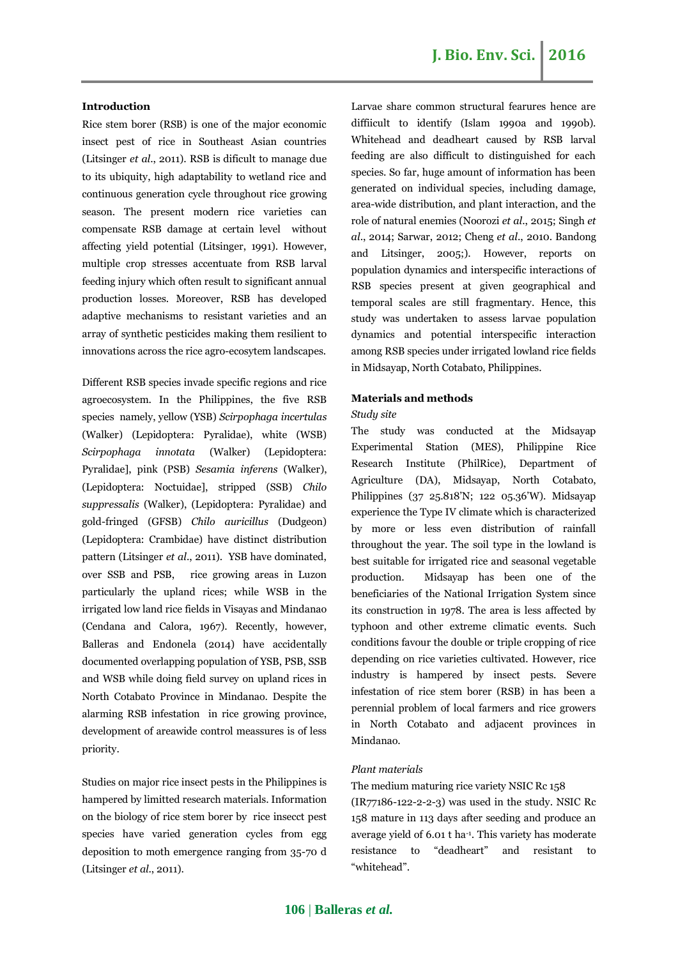# **Introduction**

Rice stem borer (RSB) is one of the major economic insect pest of rice in Southeast Asian countries (Litsinger *et al*., 2011). RSB is dificult to manage due to its ubiquity, high adaptability to wetland rice and continuous generation cycle throughout rice growing season. The present modern rice varieties can compensate RSB damage at certain level without affecting yield potential (Litsinger, 1991). However, multiple crop stresses accentuate from RSB larval feeding injury which often result to significant annual production losses. Moreover, RSB has developed adaptive mechanisms to resistant varieties and an array of synthetic pesticides making them resilient to innovations across the rice agro-ecosytem landscapes.

Different RSB species invade specific regions and rice agroecosystem. In the Philippines, the five RSB species namely, yellow (YSB) *Scirpophaga incertulas* (Walker) (Lepidoptera: Pyralidae), white (WSB) *Scirpophaga innotata* (Walker) (Lepidoptera: Pyralidae], pink (PSB) *Sesamia inferens* (Walker), (Lepidoptera: Noctuidae], stripped (SSB) *Chilo suppressalis* (Walker), (Lepidoptera: Pyralidae) and gold-fringed (GFSB) *Chilo auricillus* (Dudgeon) (Lepidoptera: Crambidae) have distinct distribution pattern (Litsinger *et al*., 2011). YSB have dominated, over SSB and PSB, rice growing areas in Luzon particularly the upland rices; while WSB in the irrigated low land rice fields in Visayas and Mindanao (Cendana and Calora, 1967). Recently, however, Balleras and Endonela (2014) have accidentally documented overlapping population of YSB, PSB, SSB and WSB while doing field survey on upland rices in North Cotabato Province in Mindanao. Despite the alarming RSB infestation in rice growing province, development of areawide control meassures is of less priority.

Studies on major rice insect pests in the Philippines is hampered by limitted research materials. Information on the biology of rice stem borer by rice insecct pest species have varied generation cycles from egg deposition to moth emergence ranging from 35-70 d (Litsinger *et al*., 2011).

Larvae share common structural fearures hence are diffiicult to identify (Islam 1990a and 1990b). Whitehead and deadheart caused by RSB larval feeding are also difficult to distinguished for each species. So far, huge amount of information has been generated on individual species, including damage, area-wide distribution, and plant interaction, and the role of natural enemies (Noorozi *et al*., 2015; Singh *et al*., 2014; Sarwar, 2012; Cheng *et al*., 2010. Bandong and Litsinger, 2005;). However, reports on population dynamics and interspecific interactions of RSB species present at given geographical and temporal scales are still fragmentary. Hence, this study was undertaken to assess larvae population dynamics and potential interspecific interaction among RSB species under irrigated lowland rice fields in Midsayap, North Cotabato, Philippines.

#### **Materials and methods**

#### *Study site*

The study was conducted at the Midsayap Experimental Station (MES), Philippine Rice Research Institute (PhilRice), Department of Agriculture (DA), Midsayap, North Cotabato, Philippines (37 25.818'N; 122 05.36'W). Midsayap experience the Type IV climate which is characterized by more or less even distribution of rainfall throughout the year. The soil type in the lowland is best suitable for irrigated rice and seasonal vegetable production. Midsayap has been one of the beneficiaries of the National Irrigation System since its construction in 1978. The area is less affected by typhoon and other extreme climatic events. Such conditions favour the double or triple cropping of rice depending on rice varieties cultivated. However, rice industry is hampered by insect pests. Severe infestation of rice stem borer (RSB) in has been a perennial problem of local farmers and rice growers in North Cotabato and adjacent provinces in Mindanao.

### *Plant materials*

# The medium maturing rice variety NSIC Rc 158

(IR77186-122-2-2-3) was used in the study. NSIC Rc 158 mature in 113 days after seeding and produce an average yield of 6.01 t ha-1 . This variety has moderate resistance to "deadheart" and resistant to "whitehead".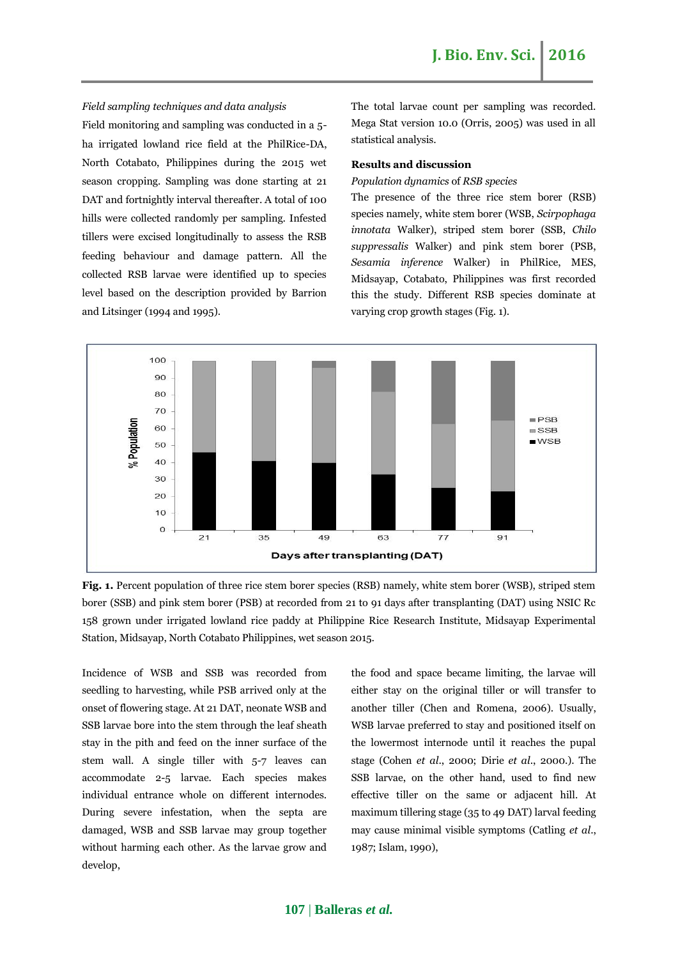*Field sampling techniques and data analysis* 

Field monitoring and sampling was conducted in a 5 ha irrigated lowland rice field at the PhilRice-DA, North Cotabato, Philippines during the 2015 wet season cropping. Sampling was done starting at 21 DAT and fortnightly interval thereafter. A total of 100 hills were collected randomly per sampling. Infested tillers were excised longitudinally to assess the RSB feeding behaviour and damage pattern. All the collected RSB larvae were identified up to species level based on the description provided by Barrion and Litsinger (1994 and 1995).

The total larvae count per sampling was recorded. Mega Stat version 10.0 (Orris, 2005) was used in all statistical analysis.

# **Results and discussion**

#### *Population dynamics* of *RSB species*

The presence of the three rice stem borer (RSB) species namely, white stem borer (WSB, *Scirpophaga innotata* Walker), striped stem borer (SSB, *Chilo suppressalis* Walker) and pink stem borer (PSB, *Sesamia inference* Walker) in PhilRice, MES, Midsayap, Cotabato, Philippines was first recorded this the study. Different RSB species dominate at varying crop growth stages (Fig. 1).



**Fig. 1.** Percent population of three rice stem borer species (RSB) namely, white stem borer (WSB), striped stem borer (SSB) and pink stem borer (PSB) at recorded from 21 to 91 days after transplanting (DAT) using NSIC Rc 158 grown under irrigated lowland rice paddy at Philippine Rice Research Institute, Midsayap Experimental Station, Midsayap, North Cotabato Philippines, wet season 2015.

Incidence of WSB and SSB was recorded from seedling to harvesting, while PSB arrived only at the onset of flowering stage. At 21 DAT, neonate WSB and SSB larvae bore into the stem through the leaf sheath stay in the pith and feed on the inner surface of the stem wall. A single tiller with 5-7 leaves can accommodate 2-5 larvae. Each species makes individual entrance whole on different internodes. During severe infestation, when the septa are damaged, WSB and SSB larvae may group together without harming each other. As the larvae grow and develop,

the food and space became limiting, the larvae will either stay on the original tiller or will transfer to another tiller (Chen and Romena, 2006). Usually, WSB larvae preferred to stay and positioned itself on the lowermost internode until it reaches the pupal stage (Cohen *et al*., 2000; Dirie *et al*., 2000.). The SSB larvae, on the other hand, used to find new effective tiller on the same or adjacent hill. At maximum tillering stage (35 to 49 DAT) larval feeding may cause minimal visible symptoms (Catling *et al*., 1987; Islam, 1990),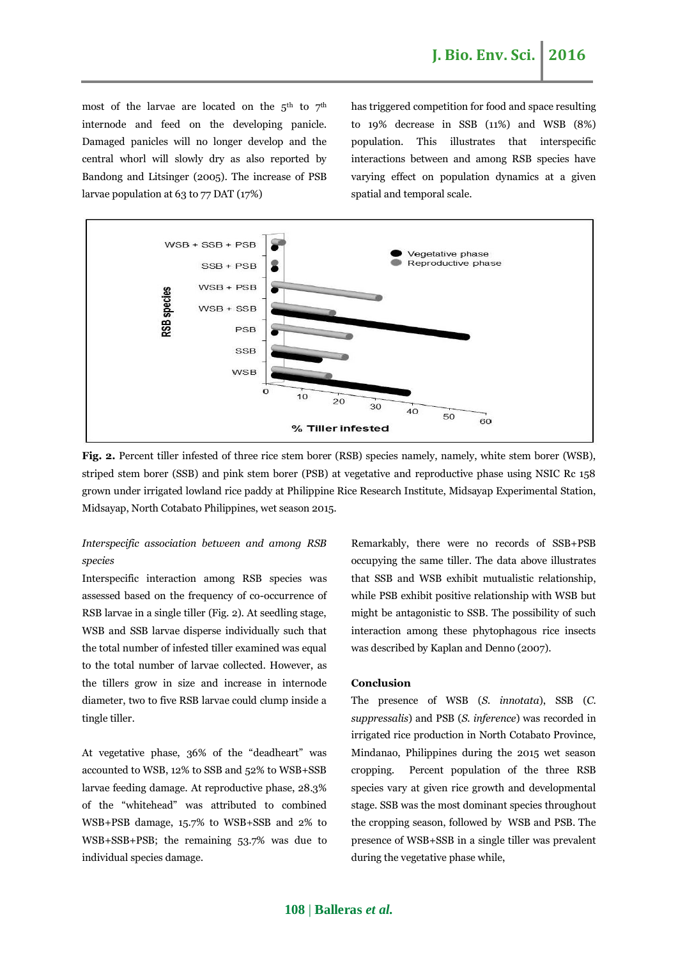most of the larvae are located on the  $5<sup>th</sup>$  to  $7<sup>th</sup>$ internode and feed on the developing panicle. Damaged panicles will no longer develop and the central whorl will slowly dry as also reported by Bandong and Litsinger (2005). The increase of PSB larvae population at 63 to 77 DAT (17%)

has triggered competition for food and space resulting to 19% decrease in SSB (11%) and WSB (8%) population. This illustrates that interspecific interactions between and among RSB species have varying effect on population dynamics at a given spatial and temporal scale.



**Fig. 2.** Percent tiller infested of three rice stem borer (RSB) species namely, namely, white stem borer (WSB), striped stem borer (SSB) and pink stem borer (PSB) at vegetative and reproductive phase using NSIC Rc 158 grown under irrigated lowland rice paddy at Philippine Rice Research Institute, Midsayap Experimental Station, Midsayap, North Cotabato Philippines, wet season 2015.

# *Interspecific association between and among RSB species*

Interspecific interaction among RSB species was assessed based on the frequency of co-occurrence of RSB larvae in a single tiller (Fig. 2). At seedling stage, WSB and SSB larvae disperse individually such that the total number of infested tiller examined was equal to the total number of larvae collected. However, as the tillers grow in size and increase in internode diameter, two to five RSB larvae could clump inside a tingle tiller.

At vegetative phase, 36% of the "deadheart" was accounted to WSB, 12% to SSB and 52% to WSB+SSB larvae feeding damage. At reproductive phase, 28.3% of the "whitehead" was attributed to combined WSB+PSB damage, 15.7% to WSB+SSB and 2% to WSB+SSB+PSB; the remaining 53.7% was due to individual species damage.

Remarkably, there were no records of SSB+PSB occupying the same tiller. The data above illustrates that SSB and WSB exhibit mutualistic relationship, while PSB exhibit positive relationship with WSB but might be antagonistic to SSB. The possibility of such interaction among these phytophagous rice insects was described by Kaplan and Denno (2007).

# **Conclusion**

The presence of WSB (*S. innotata*), SSB (*C. suppressalis*) and PSB (*S. inference*) was recorded in irrigated rice production in North Cotabato Province, Mindanao, Philippines during the 2015 wet season cropping. Percent population of the three RSB species vary at given rice growth and developmental stage. SSB was the most dominant species throughout the cropping season, followed by WSB and PSB. The presence of WSB+SSB in a single tiller was prevalent during the vegetative phase while,